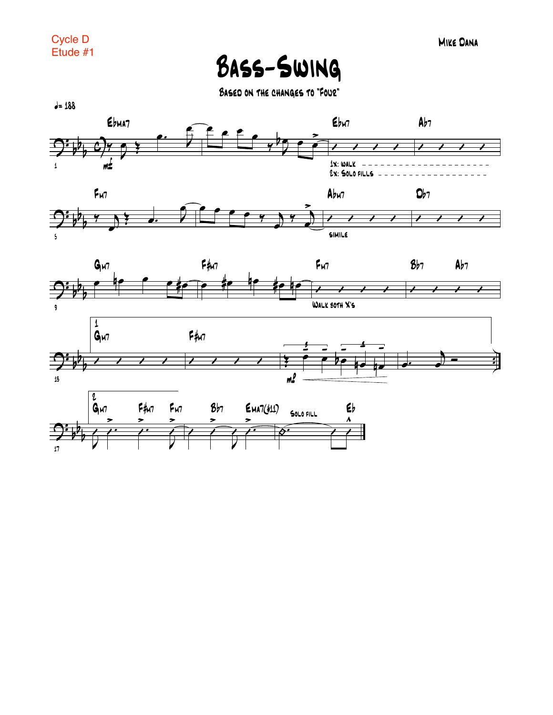Bass-Swing

Based on the changes to "Four"







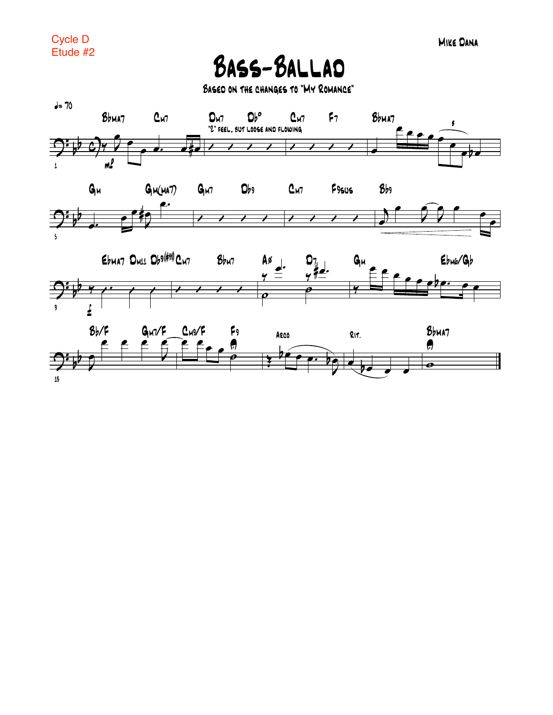**BASS-BALLAD** 

BASED ON THE CHANGES TO "MY ROMANCE"